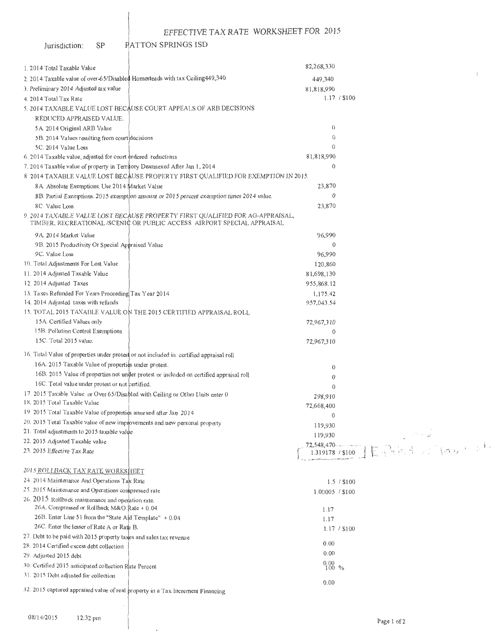#### PATTON SPRINGS ISD Jurisdiction:  $\mbox{SP}$

| 1.2014 Total Taxable Value                                                                                     |                                                                                                                                                          | 82,268,330                                   |                                                                                                                                                                                                                                                                                                                                                                                                                  |
|----------------------------------------------------------------------------------------------------------------|----------------------------------------------------------------------------------------------------------------------------------------------------------|----------------------------------------------|------------------------------------------------------------------------------------------------------------------------------------------------------------------------------------------------------------------------------------------------------------------------------------------------------------------------------------------------------------------------------------------------------------------|
| 2. 2014 Taxable value of over-65/Disabled Homesteads with tax Ceiling449,340                                   |                                                                                                                                                          | 449,340                                      |                                                                                                                                                                                                                                                                                                                                                                                                                  |
| 3. Preliminary 2014 Adjusted tax value                                                                         |                                                                                                                                                          | 81,818,990                                   |                                                                                                                                                                                                                                                                                                                                                                                                                  |
| 4. 2014 Total Tax Rate                                                                                         |                                                                                                                                                          |                                              | 1.17 / \$100                                                                                                                                                                                                                                                                                                                                                                                                     |
|                                                                                                                | 5. 2014 TAXABLE VALUE LOST BECAUSE COURT APPEALS OF ARB DECISIONS                                                                                        |                                              |                                                                                                                                                                                                                                                                                                                                                                                                                  |
| REDUCED APPRAISED VALUE.                                                                                       |                                                                                                                                                          |                                              |                                                                                                                                                                                                                                                                                                                                                                                                                  |
| 5A. 2014 Original ARB Value                                                                                    |                                                                                                                                                          | $\left( \right)$                             |                                                                                                                                                                                                                                                                                                                                                                                                                  |
| 5B. 2014 Values resulting from court decisions                                                                 |                                                                                                                                                          | $\Omega$                                     |                                                                                                                                                                                                                                                                                                                                                                                                                  |
| 5C. 2014 Value Loss                                                                                            |                                                                                                                                                          | $\theta$                                     |                                                                                                                                                                                                                                                                                                                                                                                                                  |
| 6.2014 Taxable value, adjusted for court ordered reductions                                                    |                                                                                                                                                          | 81,818,990                                   |                                                                                                                                                                                                                                                                                                                                                                                                                  |
| 7.2014 Taxable value of property in Territory Deannexed After Jan 1, 2014                                      |                                                                                                                                                          | $\theta$                                     |                                                                                                                                                                                                                                                                                                                                                                                                                  |
|                                                                                                                | 8 2014 TAXABLE VALUE LOST BECAUSE PROPERTY FIRST QUALIFIED FOR EXEMPTION IN 2015.                                                                        |                                              |                                                                                                                                                                                                                                                                                                                                                                                                                  |
| 8A. Absolute Exemptions. Use 2014 Market Value                                                                 |                                                                                                                                                          | 23,870                                       |                                                                                                                                                                                                                                                                                                                                                                                                                  |
|                                                                                                                | 8B. Partial Exemptions. 2015 exemption amount or 2015 percent exemption tunes 2014 value.                                                                | $\theta$                                     |                                                                                                                                                                                                                                                                                                                                                                                                                  |
| 8C. Value Loss                                                                                                 |                                                                                                                                                          | 23,870                                       |                                                                                                                                                                                                                                                                                                                                                                                                                  |
|                                                                                                                | 9. 2014 TAXABLE VALUE LOST BECAUSE PROPERTY FIRST QUALIFIED FOR AG-APPRAISAL,<br>TIMBER, RECREATIONAL /SCENIC OR PUBLIC ACCESS AIRPORT SPECIAL APPRAISAL |                                              |                                                                                                                                                                                                                                                                                                                                                                                                                  |
| 9A 2014 Market Value                                                                                           |                                                                                                                                                          | 96,990                                       |                                                                                                                                                                                                                                                                                                                                                                                                                  |
| 9B. 2015 Productivity Or Special Appraised Value                                                               |                                                                                                                                                          | 0                                            |                                                                                                                                                                                                                                                                                                                                                                                                                  |
| 9C. Value Loss                                                                                                 |                                                                                                                                                          | 96,990                                       |                                                                                                                                                                                                                                                                                                                                                                                                                  |
| 10. Total Adjustments For Lost Value                                                                           |                                                                                                                                                          | 120,860                                      |                                                                                                                                                                                                                                                                                                                                                                                                                  |
| 11. 2014 Adjusted Taxable Value                                                                                |                                                                                                                                                          | 81,698,130                                   |                                                                                                                                                                                                                                                                                                                                                                                                                  |
| 12. 2014 Adjusted Taxes                                                                                        |                                                                                                                                                          | 955,868.12                                   |                                                                                                                                                                                                                                                                                                                                                                                                                  |
| 13. Taxes Refunded For Years Proceeding Tax Year 2014                                                          |                                                                                                                                                          | 1,175.42                                     |                                                                                                                                                                                                                                                                                                                                                                                                                  |
| 14. 2014 Adjusted taxes with refunds                                                                           |                                                                                                                                                          | 957,043.54                                   |                                                                                                                                                                                                                                                                                                                                                                                                                  |
|                                                                                                                | 15. TOTAL 2015 TAXABLE VALUE ON THE 2015 CERTIFIED APPRAISAL ROLL                                                                                        |                                              |                                                                                                                                                                                                                                                                                                                                                                                                                  |
| 15A. Certified Values only                                                                                     |                                                                                                                                                          | 72,967,310                                   |                                                                                                                                                                                                                                                                                                                                                                                                                  |
| 15B. Pollution Control Exemptions                                                                              |                                                                                                                                                          | $\theta$                                     |                                                                                                                                                                                                                                                                                                                                                                                                                  |
| 15C. Total 2015 value.                                                                                         |                                                                                                                                                          | 72,967,310                                   |                                                                                                                                                                                                                                                                                                                                                                                                                  |
|                                                                                                                | 16. Total Value of properties under protest or not included in certified appraisal roll                                                                  |                                              |                                                                                                                                                                                                                                                                                                                                                                                                                  |
|                                                                                                                |                                                                                                                                                          |                                              |                                                                                                                                                                                                                                                                                                                                                                                                                  |
| 16A. 2015 Taxable Value of properties under protest.                                                           | 16B. 2015 Value of properties not under protest or included on certified appraisal roll                                                                  | $\theta$                                     |                                                                                                                                                                                                                                                                                                                                                                                                                  |
| 16C. Total value under protest or not certified.                                                               |                                                                                                                                                          | $\theta$                                     |                                                                                                                                                                                                                                                                                                                                                                                                                  |
|                                                                                                                |                                                                                                                                                          | $\Omega$                                     |                                                                                                                                                                                                                                                                                                                                                                                                                  |
| 17. 2015 Taxable Value or Over 65/Disabled with Ceiling or Other Units enter 0<br>18. 2015 Total Taxable Value |                                                                                                                                                          | 298,910                                      |                                                                                                                                                                                                                                                                                                                                                                                                                  |
| 19. 2015 Total Taxable Value of properties annexed after Jan 2014                                              |                                                                                                                                                          | 72,668,400                                   |                                                                                                                                                                                                                                                                                                                                                                                                                  |
| 20. 2015 Total Taxable value of new improvements and new personal property                                     |                                                                                                                                                          | $\theta$                                     |                                                                                                                                                                                                                                                                                                                                                                                                                  |
| 21. Total adjustments to 2015 taxable value                                                                    |                                                                                                                                                          | 119,930                                      |                                                                                                                                                                                                                                                                                                                                                                                                                  |
| 22. 2015 Adjusted Taxable value                                                                                |                                                                                                                                                          |                                              |                                                                                                                                                                                                                                                                                                                                                                                                                  |
| 23. 2015 Effective Tax Rate                                                                                    |                                                                                                                                                          |                                              | 72,548,470<br>1.319178 / \$100 $\left[\begin{array}{c} 0 & \text{if } 0 & \text{if } 0 & \text{if } 0 & \text{if } 0 & \text{if } 0 & \text{if } 0 & \text{if } 0 & \text{if } 0 & \text{if } 0 & \text{if } 0 & \text{if } 0 & \text{if } 0 & \text{if } 0 & \text{if } 0 & \text{if } 0 & \text{if } 0 & \text{if } 0 & \text{if } 0 & \text{if } 0 & \text{if } 0 & \text{if } 0 & \text{if } 0 & \text{if }$ |
| 2015 ROLLBACK TAX RATE WORKSHEET                                                                               |                                                                                                                                                          |                                              |                                                                                                                                                                                                                                                                                                                                                                                                                  |
| 24. 2014 Maintenance And Operations Tax Rate                                                                   |                                                                                                                                                          |                                              | 1.5 / \$100                                                                                                                                                                                                                                                                                                                                                                                                      |
| 25. 2015 Maintenance and Operations compressed rate                                                            |                                                                                                                                                          | 1.00005 / \$100                              |                                                                                                                                                                                                                                                                                                                                                                                                                  |
| 26. 2015 Rollback maintenance and operation rate.                                                              |                                                                                                                                                          |                                              |                                                                                                                                                                                                                                                                                                                                                                                                                  |
| 26A. Compressed or Rollback M&O Rate + 0.04                                                                    |                                                                                                                                                          | 1.17                                         |                                                                                                                                                                                                                                                                                                                                                                                                                  |
| 26B. Enter Line 51 from the "State Aid Template" + 0.04                                                        |                                                                                                                                                          | 1.17                                         |                                                                                                                                                                                                                                                                                                                                                                                                                  |
| 26C. Enter the lesser of Rate A or Rate B.                                                                     |                                                                                                                                                          |                                              | 1.17 / S100                                                                                                                                                                                                                                                                                                                                                                                                      |
| 27. Debt to be paid with 2015 property taxes and sales tax revenue                                             |                                                                                                                                                          |                                              |                                                                                                                                                                                                                                                                                                                                                                                                                  |
| 28. 2014 Certified excess debt collection                                                                      |                                                                                                                                                          | 0.00                                         |                                                                                                                                                                                                                                                                                                                                                                                                                  |
| 29. Adjusted 2015 debt                                                                                         |                                                                                                                                                          | 0.00                                         |                                                                                                                                                                                                                                                                                                                                                                                                                  |
| 30. Certified 2015 anticipated collection Rate Percent                                                         |                                                                                                                                                          | $\begin{array}{c} 0.00 \\ 100 \end{array}$ % |                                                                                                                                                                                                                                                                                                                                                                                                                  |
| 31. 2015 Debt adjusted for collection                                                                          |                                                                                                                                                          |                                              |                                                                                                                                                                                                                                                                                                                                                                                                                  |
| 32. 2015 captured appraised value of real property in a Tax Increment Financing                                |                                                                                                                                                          | 0.00                                         |                                                                                                                                                                                                                                                                                                                                                                                                                  |
|                                                                                                                |                                                                                                                                                          |                                              |                                                                                                                                                                                                                                                                                                                                                                                                                  |

 $\ddot{\phantom{a}}$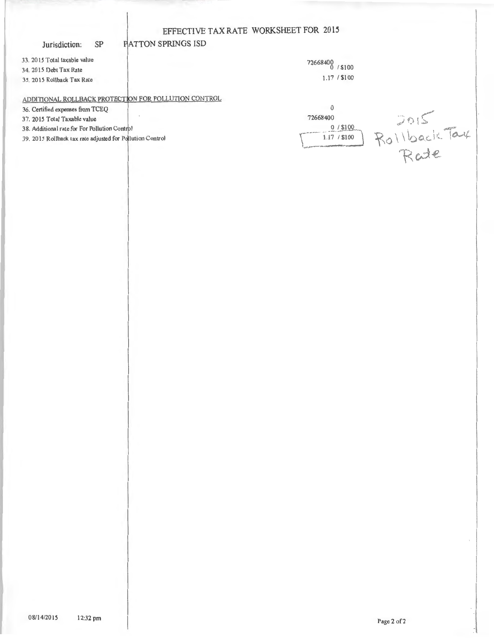### Jurisdiction: SP

33. 2015 Total taxable value 34. 20 15 Debt Tax Rate 35. 2015 Rollback Tax Rate

72668400 0 I \$ 100 1.17 1\$100

## ADDITIONAL ROLLBACK PROTECTION FOR POLLUTION CONTROL

ATTON SPRJNGS ISD

36. Certified expenses from TCEQ

37. 20 15 Total Taxable value

38. Additional rate for For Pollution Control

39. 2015 Rollback tax rate adjusted for Pollution Control

| 72668400                   |          |
|----------------------------|----------|
| $0/$ \$100<br>1.17 / \$100 | Rollback |
|                            | cde      |

Page 2 of 2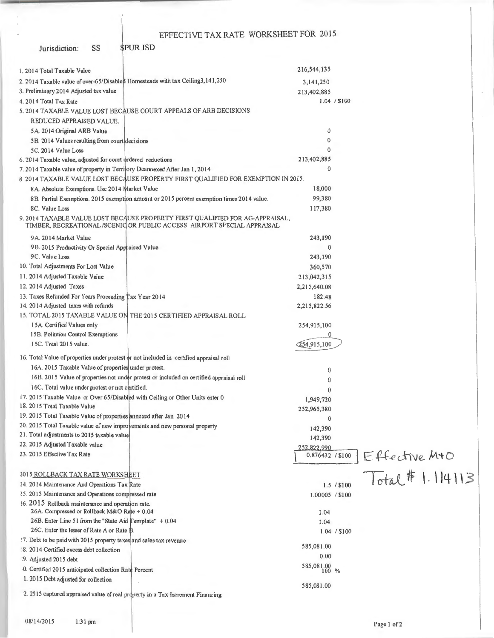Jurisdiction: SS \$PUR ISD

| 1.2014 Total Taxable Value                                                                                                                              | 216,544,135                         |
|---------------------------------------------------------------------------------------------------------------------------------------------------------|-------------------------------------|
| 2. 2014 Taxable value of over-65/Disabled Homesteads with tax Ceiling3, 141, 250                                                                        | 3,141,250                           |
| 3. Preliminary 2014 Adjusted tax value                                                                                                                  | 213,402,885                         |
| 4. 2014 Total Tax Rate                                                                                                                                  | 1.04 / \$100                        |
| 5. 2014 TAXABLE VALUE LOST BECAUSE COURT APPEALS OF ARB DECISIONS                                                                                       |                                     |
| REDUCED APPRAISED VALUE.                                                                                                                                |                                     |
| 5A. 2014 Original ARB Value                                                                                                                             | 0                                   |
| 5B. 2014 Values resulting from court decisions                                                                                                          | 0                                   |
| 5C. 2014 Value Loss                                                                                                                                     | 0                                   |
| 6. 2014 Taxable value, adjusted for court ordered reductions                                                                                            | 213,402,885                         |
| 7. 2014 Taxable value of property in Territory Deannexed After Jan 1, 2014                                                                              | $\theta$                            |
| 8 2014 TAXABLE VALUE LOST BECAUSE PROPERTY FIRST QUALIFIED FOR EXEMPTION IN 2015.                                                                       |                                     |
| 8A. Absolute Exemptions. Use 2014 Market Value                                                                                                          | 18,000                              |
| 8B. Partial Exemptions. 2015 exemption amount or 2015 percent exemption times 2014 value.                                                               | 99,380                              |
| 8C. Value Loss                                                                                                                                          | 117,380                             |
| 9. 2014 TAXABLE VALUE LOST BECAUSE PROPERTY FIRST QUALIFIED FOR AG-APPRAISAL,<br>TIMBER, RECREATIONAL/SCENIC OR PUBLIC ACCESS AIRPORT SPECIAL APPRAISAL |                                     |
| 9A. 2014 Market Value                                                                                                                                   | 243,190                             |
| 9B. 2015 Productivity Or Special Appraised Value                                                                                                        | $\mathbf{0}$                        |
| 9C. Value Loss                                                                                                                                          | 243,190                             |
| 10. Total Adjustments For Lost Value                                                                                                                    | 360,570                             |
| 11. 2014 Adjusted Taxable Value                                                                                                                         | 213,042,315                         |
| 12. 2014 Adjusted Taxes                                                                                                                                 | 2,215,640.08                        |
| 13. Taxes Refunded For Years Proceeding Tax Year 2014                                                                                                   | 182.48                              |
| 14. 2014 Adjusted taxes with refunds                                                                                                                    | 2,215,822.56                        |
| 15. TOTAL 2015 TAXABLE VALUE ON THE 2015 CERTIFIED APPRAISAL ROLL                                                                                       |                                     |
| 15A. Certified Values only                                                                                                                              | 254,915,100                         |
| 15B. Pollution Control Exemptions                                                                                                                       |                                     |
| 15C. Total 2015 value.                                                                                                                                  | 54,915,100                          |
| 16. Total Value of properties under protest or not included in certified appraisal roll                                                                 |                                     |
| 16A. 2015 Taxable Value of properties under protest.                                                                                                    |                                     |
| 16B. 2015 Value of properties not under protest or included on certified appraisal roll                                                                 | 0                                   |
|                                                                                                                                                         | 0                                   |
| 16C. Total value under protest or not certified.                                                                                                        | $\mathbf{0}$                        |
| 17. 2015 Taxable Value or Over 65/Disabled with Ceiling or Other Units enter 0<br>18. 2015 Total Taxable Value                                          | 1,949,720                           |
| 19. 2015 Total Taxable Value of properties annexed after Jan 2014                                                                                       | 252,965,380                         |
| 20. 2015 Total Taxable value of new improvements and new personal property                                                                              | $\Omega$                            |
| 21. Total adjustments to 2015 taxable value                                                                                                             | 142,390                             |
| 22. 2015 Adjusted Taxable value                                                                                                                         | 142,390                             |
| 23. 2015 Effective Tax Rate                                                                                                                             | 252,822,990<br>0.876432 / \$100     |
|                                                                                                                                                         |                                     |
| 2015 ROLLBACK TAX RATE WORKS HEET                                                                                                                       | $Effective M+O$<br>Total # 1.114113 |
| 24. 2014 Maintenance And Operations Tax Rate                                                                                                            | 1.5 / \$100                         |
| 25. 2015 Maintenance and Operations compressed rate                                                                                                     | 1.00005 / \$100                     |
| 36. 2015 Rollback maintenance and operation rate.                                                                                                       |                                     |
| 26A. Compressed or Rollback M&O Rate + 0.04                                                                                                             | I.04                                |
| 26B. Enter Line 51 from the "State Aid Template" + 0.04                                                                                                 | 1.04                                |
| 26C. Enter the lesser of Rate A or Rate B.                                                                                                              | 1.04 / \$100                        |
| !7. Debt to be paid with 2015 property taxes and sales tax revenue                                                                                      |                                     |
| :8. 2014 Certified excess debt collection                                                                                                               | 585,081.00                          |
| :9. Adjusted 2015 debt                                                                                                                                  | 0.00                                |
| 0. Certified 2015 anticipated collection Rate Percent                                                                                                   | 585,081.00 %                        |
| 1. 2015 Debt adjusted for collection                                                                                                                    |                                     |
|                                                                                                                                                         | 585,081.00                          |
| 2. 2015 captured appraised value of real property in a Tax Increment Financing                                                                          |                                     |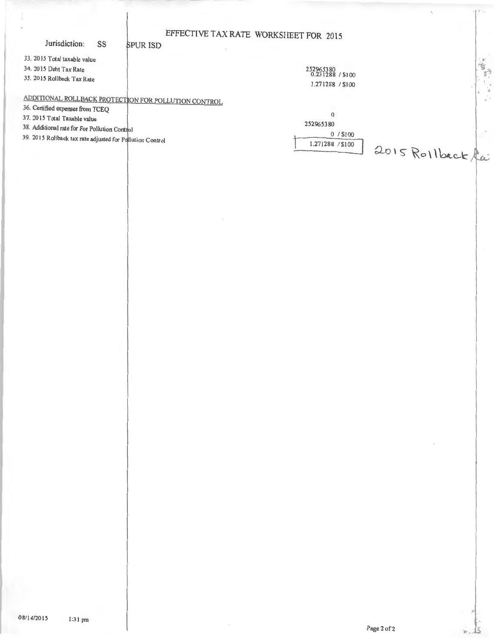## EFFECTIVE TAX RATE WORKSHEET FOR 2015 **SPUR ISD**

### Jurisdiction: SS

33. 2015 Total taxable value

34. 2015 Debt Tax Rate

35. 2015 Rollback Tax Rate

252965380<br>0.231288 / \$100 1.271288 / \$100 Ï

# ADDITIONAL ROLLBACK PROTECTION FOR POLLUTION CONTROL

36. Certified expenses from TCEQ

37. 2015 Total Taxable value

38. Additional rate for For Pollution Control

39. 2015 Rollback tax rate adjusted for Pollution Control

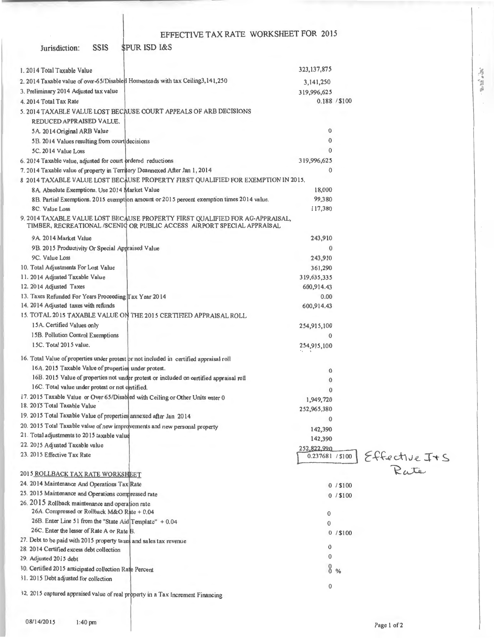Jurisdiction: SSIS **\$PUR ISD I&S** 

| 1. 2014 Total Taxable Value                                                                                     |                                                                                                                                                          | 323, 137, 875    |            |               |
|-----------------------------------------------------------------------------------------------------------------|----------------------------------------------------------------------------------------------------------------------------------------------------------|------------------|------------|---------------|
| 2. 2014 Taxable value of over-65/Disabled Homesteads with tax Ceiling3,141,250                                  |                                                                                                                                                          | 3,141,250        |            |               |
| 3. Preliminary 2014 Adjusted tax value                                                                          |                                                                                                                                                          | 319,996,625      |            |               |
| 4. 2014 Total Tax Rate                                                                                          |                                                                                                                                                          | 0.188 / \$100    |            |               |
|                                                                                                                 | 5. 2014 TAXABLE VALUE LOST BECAUSE COURT APPEALS OF ARB DECISIONS                                                                                        |                  |            |               |
| REDUCED APPRAISED VALUE.                                                                                        |                                                                                                                                                          |                  |            |               |
| 5A 2014 Original ARB Value                                                                                      |                                                                                                                                                          | 0                |            |               |
| 5B. 2014 Values resulting from court decisions                                                                  |                                                                                                                                                          | $\bf{0}$         |            |               |
| 5C. 2014 Value Loss                                                                                             |                                                                                                                                                          | $\mathbf{0}$     |            |               |
| 6. 2014 Taxable value, adjusted for court prdered reductions                                                    |                                                                                                                                                          | 319,996,625      |            |               |
| 7. 2014 Taxable value of property in Territory Deannexed After Jan 1, 2014                                      |                                                                                                                                                          | $\mathbf 0$      |            |               |
|                                                                                                                 | 8 2014 TAXABLE VALUE LOST BECAUSE PROPERTY FIRST QUALIFIED FOR EXEMPTION IN 2015.                                                                        |                  |            |               |
| 8A. Absolute Exemptions. Use 2014 Market Value                                                                  |                                                                                                                                                          | 18,000           |            |               |
|                                                                                                                 | 8B. Partial Exemptions. 2015 exemption amount or 2015 percent exemption times 2014 value.                                                                | 99,380           |            |               |
| 8C. Value Loss                                                                                                  |                                                                                                                                                          | 117,380          |            |               |
|                                                                                                                 | 9. 2014 TAXABLE VALUE LOST BECAUSE PROPERTY FIRST QUALIFIED FOR AG-APPRAISAL,<br>TIMBER, RECREATIONAL /SCENIC OR PUBLIC ACCESS AIRPORT SPECIAL APPRAISAL |                  |            |               |
| 9A 2014 Market Value                                                                                            |                                                                                                                                                          | 243,910          |            |               |
| 9B. 2015 Productivity Or Special Appraised Value                                                                |                                                                                                                                                          | $\mathbf{0}$     |            |               |
| 9C. Value Loss                                                                                                  |                                                                                                                                                          | 243,910          |            |               |
| 10. Total Adjustments For Lost Value                                                                            |                                                                                                                                                          | 361,290          |            |               |
| 11. 2014 Adjusted Taxable Value                                                                                 |                                                                                                                                                          | 319,635,335      |            |               |
| 12. 2014 Adjusted Taxes                                                                                         |                                                                                                                                                          | 600,914.43       |            |               |
| 13. Taxes Refunded For Years Proceeding Tax Year 2014                                                           |                                                                                                                                                          | 0.00             |            |               |
| 14. 2014 Adjusted taxes with refunds                                                                            |                                                                                                                                                          | 600,914.43       |            |               |
|                                                                                                                 | 15. TOTAL 2015 TAXABLE VALUE ON THE 2015 CERTIFIED APPRAISAL ROLL                                                                                        |                  |            |               |
| 15A. Certified Values only                                                                                      |                                                                                                                                                          | 254,915,100      |            |               |
| 15B. Pollution Control Exemptions                                                                               |                                                                                                                                                          | 0                |            |               |
| 15C. Total 2015 value.                                                                                          |                                                                                                                                                          | 254,915,100      |            |               |
|                                                                                                                 | 16. Total Value of properties under protest or not included in certified appraisal roll                                                                  |                  |            |               |
| 16A. 2015 Taxable Value of properties under protest.                                                            |                                                                                                                                                          | $\mathbf{0}$     |            |               |
|                                                                                                                 | 16B. 2015 Value of properties not under protest or included on certified appraisal roll                                                                  | 0                |            |               |
| 16C. Total value under protest or not certified.                                                                |                                                                                                                                                          | $\mathbf{0}$     |            |               |
| 17. 2015 Taxable Value or Over 65/Disabled with Ceiling or Other Units enter 0                                  |                                                                                                                                                          | 1,949,720        |            |               |
| 18. 2015 Total Taxable Value                                                                                    |                                                                                                                                                          | 252,965,380      |            |               |
| 19. 2015 Total Taxable Value of properties annexed after Jan 2014                                               |                                                                                                                                                          | 0                |            |               |
| 20. 2015 Total Taxable value of new improvements and new personal property                                      |                                                                                                                                                          | 142,390          |            |               |
| 21. Total adjustments to 2015 taxable value                                                                     |                                                                                                                                                          | 142,390          |            |               |
| 22. 2015 Adjusted Taxable value                                                                                 |                                                                                                                                                          | 252,822,990      |            |               |
| 23. 2015 Effective Tax Rate                                                                                     |                                                                                                                                                          | 0.237681 / \$100 |            | Effective I+S |
|                                                                                                                 |                                                                                                                                                          |                  |            |               |
| 2015 ROLLBACK TAX RATE WORKSHEET                                                                                |                                                                                                                                                          |                  |            |               |
| 24. 2014 Maintenance And Operations Tax Rate                                                                    |                                                                                                                                                          |                  | $0/$ \$100 |               |
| 25. 2015 Maintenance and Operations compressed rate                                                             |                                                                                                                                                          |                  | $0/$ \$100 |               |
| 26. 2015 Rollback maintenance and operation rate.                                                               |                                                                                                                                                          |                  |            |               |
| 26A. Compressed or Rollback M&O Rate + 0.04                                                                     |                                                                                                                                                          | 0                |            |               |
| 26B. Enter Line 51 from the "State Aid Template" + 0.04<br>26C. Enter the lesser of Rate A or Rate B.           |                                                                                                                                                          | $\mathbf 0$      |            |               |
|                                                                                                                 |                                                                                                                                                          |                  | $0/$ \$100 |               |
| 27. Debt to be paid with 2015 property taxes and sales tax revenue<br>28. 2014 Certified excess debt collection |                                                                                                                                                          | 0                |            |               |
| 29. Adjusted 2015 debt                                                                                          |                                                                                                                                                          | 0                |            |               |
| 30. Certified 2015 anticipated collection Rate Percent                                                          |                                                                                                                                                          | 8 <sub>0</sub>   |            |               |
| 31. 2015 Debt adjusted for collection                                                                           |                                                                                                                                                          |                  |            |               |
|                                                                                                                 |                                                                                                                                                          | 0                |            |               |
| 32. 2015 captured appraised value of real property in a Tax Increment Financing                                 |                                                                                                                                                          |                  |            |               |

"馬鱼照明"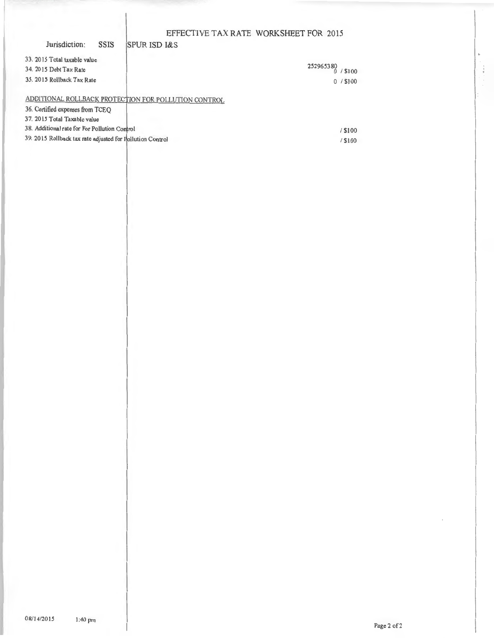$/ $100$ 

**SPUR ISD I&S** 

Jurisdiction:

**SSIS** 

| 33. 2015 Total taxable value<br>34. 2015 Debt Tax Rate<br>35. 2015 Rollback Tax Rate     | 252965380<br>\$100<br>$0/$ \$100 |
|------------------------------------------------------------------------------------------|----------------------------------|
| ADDITIONAL ROLLBACK PROTECTION FOR POLLUTION CONTROL<br>36. Certified expenses from TCEO |                                  |
| 37. 2015 Total Taxable value                                                             |                                  |
| 38. Additional rate for For Pollution Control                                            | / \$100                          |
| 39. 2015 Rollback tax rate adjusted for Pollution Control                                | / \$100                          |

08/14/2015

÷,

 $\frac{1}{2}$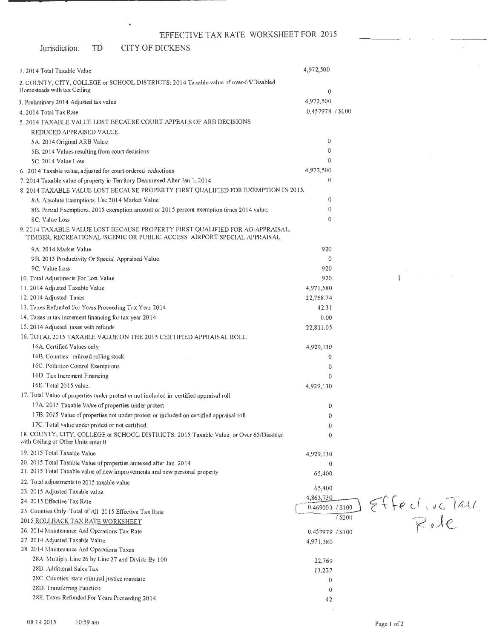### Jurisdiction: TD CITY OF DICKENS

 $\hat{\mathbf{u}}$ 

| 1. 2014 Total Taxable Value                                                                                                                             | 4,972,500         |        |               |
|---------------------------------------------------------------------------------------------------------------------------------------------------------|-------------------|--------|---------------|
| 2. COUNTY, CITY, COLLEGE or SCHOOL DISTRICTS: 2014 Taxable value of over-65/Disabled<br>Homesteads with tax Ceiling                                     | 0                 |        |               |
| 3. Preliminary 2014 Adjusted tax value                                                                                                                  | 4,972,500         |        |               |
| 4. 2014 Total Tax Rate                                                                                                                                  | 0.457978 / \$100  |        |               |
| 5. 2014 TAXABLE VALUE LOST BECAUSE COURT APPEALS OF ARB DECISIONS                                                                                       |                   |        |               |
| REDUCED APPRAISED VALUE.                                                                                                                                |                   |        |               |
| 5A 2014 Original ARB Value                                                                                                                              | $\bf{0}$          |        |               |
| 5B. 2014 Values resulting from court decisions                                                                                                          | $\overline{0}$    |        |               |
| 5C. 2014 Value Loss                                                                                                                                     | $\theta$          |        |               |
| 6. 2014 Taxable value, adjusted for court ordered reductions                                                                                            | 4,972,500         |        |               |
| 7. 2014 Taxable value of property in Territory Deannexed After Jan 1, 2014                                                                              | $\theta$          |        |               |
| 8 2014 TAXABLE VALUE LOST BECAUSE PROPERTY FIRST QUALIFIED FOR EXEMPTION IN 2015.                                                                       |                   |        |               |
| 8A. Absolute Exemptions. Use 2014 Market Value                                                                                                          | $\theta$          |        |               |
| 8B. Partial Exemptions. 2015 exemption amount or 2015 percent exemption times 2014 value.                                                               | $\theta$          |        |               |
| 8C. Value Loss                                                                                                                                          | $\theta$          |        |               |
| 9. 2014 TAXABLE VALUE LOST BECAUSE PROPERTY FIRST QUALIFIED FOR AG-APPRAISAL,<br>TIMBER, RECREATIONAL/SCENIC OR PUBLIC ACCESS AIRPORT SPECIAL APPRAISAL |                   |        |               |
| 9A. 2014 Market Value                                                                                                                                   | 920               |        |               |
| 9B. 2015 Productivity Or Special Appraised Value                                                                                                        | $\mathbf 0$       |        |               |
| 9C. Value Loss                                                                                                                                          | 920               |        |               |
| 10. Total Adjustments For Lost Value                                                                                                                    | 920               |        |               |
| 11. 2014 Adjusted Taxable Value                                                                                                                         | 4,971,580         |        |               |
| 12. 2014 Adjusted Taxes                                                                                                                                 | 22,768.74         |        |               |
| 13. Taxes Refunded For Years Proceeding Tax Year 2014                                                                                                   | 42.31             |        |               |
| 14. Taxes in tax increment financing for tax year 2014                                                                                                  | 0.00              |        |               |
| 15. 2014 Adjusted taxes with refunds                                                                                                                    | 22,811.05         |        |               |
| 16. TOTAL 2015 TAXABLE VALUE ON THE 2015 CERTIFIED APPRAISAL ROLL                                                                                       |                   |        |               |
| 16A. Certified Values only                                                                                                                              | 4,929,130         |        |               |
| 16B. Counties: railroad rolling stock                                                                                                                   | 0                 |        |               |
| 16C. Pollution Control Exemptions                                                                                                                       | 0                 |        |               |
| 16D. Tax Increment Financing                                                                                                                            | $\Omega$          |        |               |
| 16E. Total 2015 value.                                                                                                                                  | 4,929,130         |        |               |
| 17. Total Value of properties under protest or not included in certified appraisal roll                                                                 |                   |        |               |
| 17A. 2015 Taxable Value of properties under protest.                                                                                                    | 0                 |        |               |
| 17B. 2015 Value of properties not under protest or included on certified appraisal roll                                                                 | 0                 |        |               |
| 17C. Total value under protest or not certified.                                                                                                        | $\theta$          |        |               |
| 18. COUNTY, CITY, COLLEGE or SCHOOL DISTRICTS: 2015 Taxable Value or Over 65/Disabled<br>with Ceiling or Other Units enter 0                            | $\mathbf 0$       |        |               |
| 19. 2015 Total Taxable Value                                                                                                                            | 4,929,130         |        |               |
| 20. 2015 Total Taxable Value of properties annexed after Jan 2014                                                                                       | $\theta$          |        |               |
| 21. 2015 Total Taxable value of new improvements and new personal property                                                                              | 65,400            |        |               |
| 22. Total adjustments to 2015 taxable value                                                                                                             |                   |        |               |
| 23. 2015 Adjusted Taxable value                                                                                                                         | 65,400            |        |               |
| 24. 2015 Effective Tax Rate                                                                                                                             | 4,863730          |        |               |
| 25. Counties Only: Total of All 2015 Effective Tax Rate                                                                                                 | 0.469003 / \$10\$ |        | Effective Tay |
| 2015 ROLLBACK TAX RATE WORKSHEET                                                                                                                        |                   | /\$100 |               |
| 26. 2014 Maintenance And Operations Tax Rate                                                                                                            | 0.457979 / \$100  |        |               |
| 27. 2014 Adjusted Taxable Value                                                                                                                         | 4,971,580         |        |               |
| 28. 2014 Maintenance And Operations Taxes                                                                                                               |                   |        |               |
| 28A. Multiply Line 26 by Line 27 and Divide By 100                                                                                                      | 22,769            |        |               |
| 28B. Additional Sales Tax                                                                                                                               | 13,227            |        |               |
| 28C. Counties: state criminal justice mandate                                                                                                           | 0                 |        |               |
| 28D. Transferring Function                                                                                                                              | $\mathbf 0$       |        |               |
| 28E. Taxes Refunded For Years Preceeding 2014                                                                                                           | 42                |        |               |

 $\hat{\boldsymbol{\beta}}$ 

 $\sim$ 

 $\bar{\mathcal{A}}$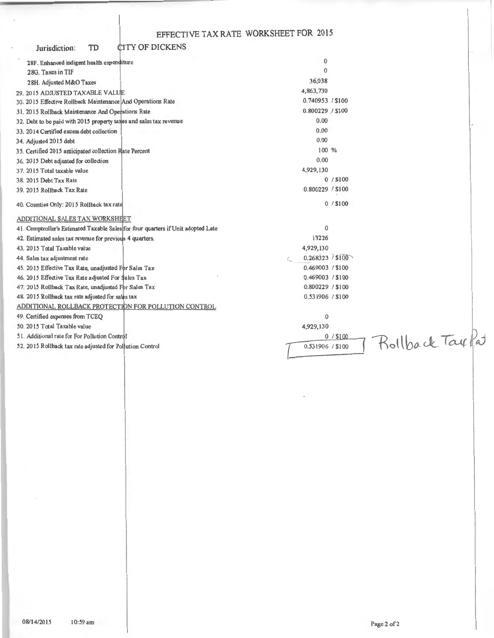| <b>CITY OF DICKENS</b><br>TD<br>Jurisdiction:                                    |                          |  |
|----------------------------------------------------------------------------------|--------------------------|--|
| 28F. Enhanced indigent health expenditure                                        | $\mathbf 0$              |  |
| 28G. Taxes in TIF                                                                | $\Omega$                 |  |
| 28H. Adjusted M&O Taxes                                                          | 36,038                   |  |
| 29. 2015 ADJUSTED TAXABLE VALUE                                                  | 4,863,730                |  |
| 30. 2015 Effective Rollback Maintenance And Operations Rate                      | 0.740953 / \$100         |  |
| 31. 2015 Rollback Maintenance And Operations Rate                                | 0.800229 / \$100         |  |
| 32. Debt to be paid with 2015 property taxes and sales tax revenue               | 0.00                     |  |
| 33. 2014 Certified excess debt collection                                        | 0.00                     |  |
| 34. Adjusted 2015 debt                                                           | 0.00                     |  |
| 35. Certified 2015 anticipated collection Rate Percent                           | 100 %                    |  |
| 36. 2015 Debt adjusted for collection                                            | 0.00                     |  |
| 37. 2015 Total taxable value                                                     | 4,929,130                |  |
| 38. 2015 Debt Tax Rate                                                           | 0/ \$100                 |  |
| 39. 2015 Rollback Tax Rate                                                       | 0.800229 / \$100         |  |
| 40. Counties Only: 2015 Rollback tax rate                                        | $0/$ \$100               |  |
| ADDITIONAL SALES TAX WORKSHEET                                                   |                          |  |
| 41. Comptroller's Estimated Taxable Sales for four quarters if Unit adopted Late | $\mathbf{0}$             |  |
| 42. Estimated sales tax revenue for previous 4 quarters.                         | 13226                    |  |
| 43. 2015 Total Taxable value                                                     | 4,929,130                |  |
| 44. Sales tax adjustment rate                                                    | 0.268323 / \$100         |  |
| 45. 2015 Effective Tax Rate, unadjusted For Sales Tax                            | 0.469003 / \$100         |  |
| 46. 2015 Effective Tax Rate adjusted For \$ales Tax                              | 0.469003 / \$100         |  |
| 47. 2015 Rollback Tax Rate, unadjusted For Sales Tax                             | 0.800229 / \$100         |  |
| 48. 2015 Rollback tax rate adjusted for sales tax                                | 0.531906 / \$100         |  |
| ADDITIONAL ROLLBACK PROTECTION FOR POLLUTION CONTROL                             |                          |  |
| 49. Certified expenses from TCEQ                                                 | $\bf{0}$                 |  |
| 50. 2015 Total Taxable value                                                     | 4,929,130                |  |
| 51. Additional rate for For Pollution Control                                    | Rollback Taxkat<br>0/100 |  |
| 52. 2015 Rollback tax rate adjusted for Pollution Control                        | 0.531906 / \$100         |  |

10:59 am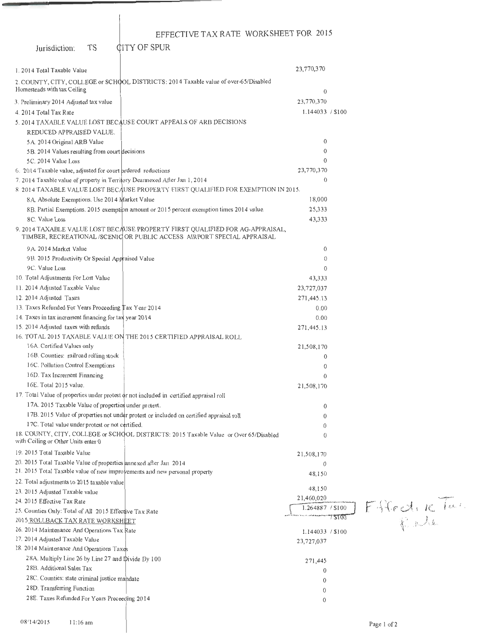Jurisdiction: TS

**CITY OF SPUR** 

| 1. 2014 Total Taxable Value                                                |                                                                                                                                                         | 23,770,370       |        |             |
|----------------------------------------------------------------------------|---------------------------------------------------------------------------------------------------------------------------------------------------------|------------------|--------|-------------|
|                                                                            | 2. COUNTY, CITY, COLLEGE or SCHOOL DISTRICTS: 2014 Taxable value of over-65/Disabled                                                                    |                  |        |             |
| Homesteads with tax Ceiling                                                |                                                                                                                                                         | $\theta$         |        |             |
|                                                                            |                                                                                                                                                         |                  |        |             |
| 3. Preliminary 2014 Adjusted tax value                                     |                                                                                                                                                         | 23,770,370       |        |             |
| 4. 2014 Total Tax Rate                                                     |                                                                                                                                                         | 1.144033 / \$100 |        |             |
|                                                                            | 5. 2014 TAXABLE VALUE LOST BECAUSE COURT APPEALS OF ARB DECISIONS                                                                                       |                  |        |             |
| REDUCED APPRAISED VALUE.                                                   |                                                                                                                                                         |                  |        |             |
| 5A 2014 Original ARB Value                                                 |                                                                                                                                                         | $\overline{0}$   |        |             |
| 5B. 2014 Values resulting from court decisions                             |                                                                                                                                                         | $\overline{0}$   |        |             |
| 5C. 2014 Value Loss                                                        |                                                                                                                                                         | $\theta$         |        |             |
| 6. 2014 Taxable value, adjusted for court prdered reductions               |                                                                                                                                                         | 23,770,370       |        |             |
| 7. 2014 Taxable value of property in Territory Deannexed After Jan 1, 2014 |                                                                                                                                                         | 0                |        |             |
|                                                                            | 8 2014 TAXABLE VALUE LOST BECAUSE PROPERTY FIRST QUALIFIED FOR EXEMPTION IN 2015.                                                                       |                  |        |             |
| 8A. Absolute Exemptions. Use 2014 Market Value                             |                                                                                                                                                         | 18,000           |        |             |
|                                                                            | 8B. Partial Exemptions. 2015 exemption amount or 2015 percent exemption times 2014 value.                                                               | 25,333           |        |             |
| 8C. Value Loss                                                             |                                                                                                                                                         | 43,333           |        |             |
|                                                                            | 9. 2014 TAXABLE VALUE LOST BECAUSE PROPERTY FIRST QUALIFIED FOR AG-APPRAISAL,<br>TIMBER, RECREATIONAL/SCENIC OR PUBLIC ACCESS AIRPORT SPECIAL APPRAISAL |                  |        |             |
| 9A. 2014 Market Value                                                      |                                                                                                                                                         | 0                |        |             |
| 9B. 2015 Productivity Or Special Appraised Value                           |                                                                                                                                                         | $\Omega$         |        |             |
| 9C. Value Loss                                                             |                                                                                                                                                         | $\Omega$         |        |             |
| 10. Total Adjustments For Lost Value                                       |                                                                                                                                                         | 43,333           |        |             |
| 11. 2014 Adjusted Taxable Value                                            |                                                                                                                                                         | 23,727,037       |        |             |
| 12. 2014 Adjusted Taxes                                                    |                                                                                                                                                         | 271,445.13       |        |             |
| 13. Taxes Refunded For Years Proceeding Tax Year 2014                      |                                                                                                                                                         | 0.00             |        |             |
| 14. Taxes in tax increment financing for tax year 2014                     |                                                                                                                                                         | 0.00             |        |             |
| 15. 2014 Adjusted taxes with refunds                                       |                                                                                                                                                         | 271,445.13       |        |             |
|                                                                            | 16. TOTAL 2015 TAXABLE VALUE ON THE 2015 CERTIFIED APPRAISAL ROLL                                                                                       |                  |        |             |
| 16A. Certified Values only                                                 |                                                                                                                                                         | 21,508,170       |        |             |
| 16B. Counties: railroad rolling stock                                      |                                                                                                                                                         | 0                |        |             |
| 16C. Pollution Control Exemptions                                          |                                                                                                                                                         | $\theta$         |        |             |
| 16D. Tax Increment Financing                                               |                                                                                                                                                         | $\Omega$         |        |             |
| 16E. Total 2015 value.                                                     |                                                                                                                                                         | 21,508,170       |        |             |
|                                                                            | 17. Total Value of properties under protest or not included in certified appraisal roll                                                                 |                  |        |             |
| 17A. 2015 Taxable Value of properties under protest.                       |                                                                                                                                                         | 0                |        |             |
|                                                                            | 17B. 2015 Value of properties not under protest or included on certified appraisal roll                                                                 | 0                |        |             |
| 17C. Total value under protest or not certified.                           |                                                                                                                                                         | 0                |        |             |
| with Ceiling or Other Units enter 0                                        | 18. COUNTY, CITY, COLLEGE or SCHOOL DISTRICTS: 2015 Taxable Value or Over 65/Disabled                                                                   | $\theta$         |        |             |
| 19. 2015 Total Taxable Value                                               |                                                                                                                                                         | 21,508,170       |        |             |
| 20. 2015 Total Taxable Value of properties annexed after Jan 2014          |                                                                                                                                                         | $\mathbf 0$      |        |             |
| 21. 2015 Total Taxable value of new improvements and new personal property |                                                                                                                                                         | 48,150           |        |             |
| 22. Total adjustments to 2015 taxable value                                |                                                                                                                                                         |                  |        |             |
| 23. 2015 Adjusted Taxable value                                            |                                                                                                                                                         | 48,150           |        |             |
| 24. 2015 Effective Tax Rate                                                |                                                                                                                                                         | 21,460,020       |        |             |
| 25. Counties Only: Total of All 2015 Effective Tax Rate                    |                                                                                                                                                         | 1.264887 / \$100 |        | Ffled, KTa. |
| 2015 ROLLBACK TAX RATE WORKSHEET                                           |                                                                                                                                                         |                  | 7 ST00 |             |
| 26. 2014 Maintenance And Operations Tax Rate                               |                                                                                                                                                         | 1.144033 / \$100 |        |             |
| 27. 2014 Adjusted Taxable Value                                            |                                                                                                                                                         | 23,727,037       |        |             |
| 28. 2014 Maintenance And Operations Taxes                                  |                                                                                                                                                         |                  |        |             |
| 28A. Multiply Line 26 by Line 27 and Ipivide By 100                        |                                                                                                                                                         | 271,445          |        |             |
| 28B. Additional Sales Tax                                                  |                                                                                                                                                         | 0                |        |             |
| 28C. Counties: state criminal justice mandate                              |                                                                                                                                                         | 0                |        |             |
| 28D. Transferring Function                                                 |                                                                                                                                                         | 0                |        |             |
| 28E. Taxes Refunded For Years Preceeding 2014                              |                                                                                                                                                         | 0                |        |             |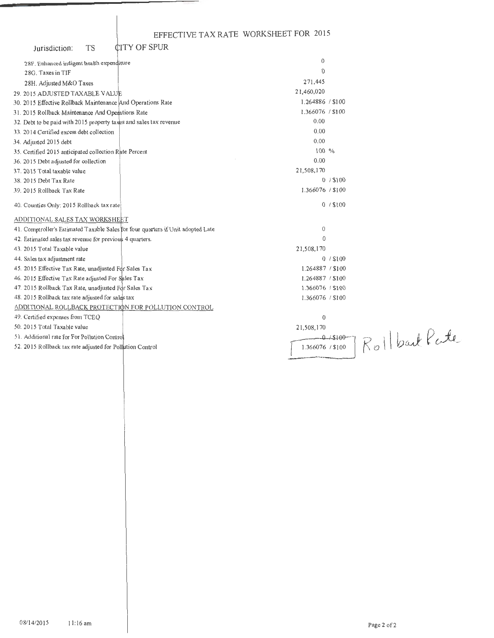| Jurisdiction: | TS |  |
|---------------|----|--|
|               |    |  |

| <b>CITY OF SPUR</b><br><b>TS</b><br>Jurisdiction:                                |                                   |  |
|----------------------------------------------------------------------------------|-----------------------------------|--|
| 28F. Enhanced indigent health expenditure                                        | $\mathbf{0}$                      |  |
| 28G. Taxes in TIF                                                                | $\Omega$                          |  |
| 28H. Adjusted M&O Taxes                                                          | 271,445                           |  |
| 29. 2015 ADJUSTED TAXABLE VALUE                                                  | 21,460,020                        |  |
| 30. 2015 Effective Rollback Maintenance And Operations Rate                      | 1.264886 / \$100                  |  |
| 31. 2015 Rollback Maintenance And Operations Rate                                | 1.366076 / \$100                  |  |
| 32. Debt to be paid with 2015 property taxes and sales tax revenue               | 0.00                              |  |
| 33. 2014 Certified excess debt collection                                        | 0.00                              |  |
| 34. Adjusted 2015 debt                                                           | 0.00                              |  |
| 35. Certified 2015 anticipated collection Rate Percent                           | $100\%$                           |  |
| 36. 2015 Debt adjusted for collection                                            | 0.00                              |  |
| 37. 2015 Total taxable value                                                     | 21,508,170                        |  |
| 38. 2015 Debt Tax Rate                                                           | $0/$ \$100                        |  |
| 39. 2015 Rollback Tax Rate                                                       | 1.366076 / \$100                  |  |
| 40. Counties Only: 2015 Rollback tax rate                                        | 0/ \$100                          |  |
| ADDITIONAL SALES TAX WORKSHEET                                                   |                                   |  |
| 41. Comptroller's Estimated Taxable Sales for four quarters if Unit adopted Late | 0                                 |  |
| 42. Estimated sales tax revenue for previous 4 quarters.                         | $\theta$                          |  |
| 43. 2015 Total Taxable value                                                     | 21,508,170                        |  |
| 44. Sales tax adjustment rate                                                    | 0/ \$100                          |  |
| 45. 2015 Effective Tax Rate, unadjusted For Sales Tax                            | 1.264887 / \$100                  |  |
| 46. 2015 Effective Tax Rate adjusted For Sales Tax                               | 1.264887 / \$100                  |  |
| 47. 2015 Rollback Tax Rate, unadjusted For Sales Tax                             | 1.366076 / \$100                  |  |
| 48. 2015 Rollback tax rate adjusted for sales tax                                | 1.366076 / \$100                  |  |
| ADDITIONAL ROLLBACK PROTECTION FOR POLLUTION CONTROL                             |                                   |  |
| 49. Certified expenses from TCEO                                                 | $\mathbf 0$                       |  |
| 50. 2015 Total Taxable value                                                     | 21,508,170                        |  |
| 51. Additional rate for For Pollution Control                                    | $0 - 15100$                       |  |
| 52. 2015 Rollback tax rate adjusted for Pollution Control                        | Rollbart Pate<br>1.366076 / \$100 |  |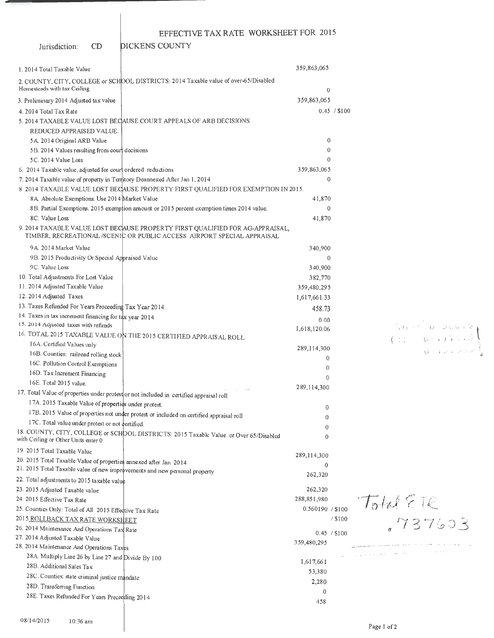DICKENS COUNTY

Jurisdiction: CD

| 1. 2014 Total Taxable Value                                                |                                                                                                                                                          | 359,863,065      |              |                                    |
|----------------------------------------------------------------------------|----------------------------------------------------------------------------------------------------------------------------------------------------------|------------------|--------------|------------------------------------|
| Homesteads with tax Ceiling                                                | 2. COUNTY, CITY, COLLEGE or SCHOOL DISTRICTS: 2014 Taxable value of over-65/Disabled                                                                     | $\theta$         |              |                                    |
| 3. Preliminary 2014 Adjusted tax value                                     |                                                                                                                                                          | 359,863,065      |              |                                    |
| 4. 2014 Total Tax Rate                                                     |                                                                                                                                                          |                  | 0.45 / \$100 |                                    |
|                                                                            | 5. 2014 TAXABLE VALUE LOST BECAUSE COURT APPEALS OF ARB DECISIONS                                                                                        |                  |              |                                    |
| REDUCED APPRAISED VALUE.                                                   |                                                                                                                                                          |                  |              |                                    |
| 5A 2014 Original ARB Value                                                 |                                                                                                                                                          | $\mathbf 0$      |              |                                    |
| 5B. 2014 Values resulting from court decisions                             |                                                                                                                                                          | $\Omega$         |              |                                    |
| 5C. 2014 Value Loss                                                        |                                                                                                                                                          | $\theta$         |              |                                    |
| 6. 2014 Taxable value, adjusted for court ordered reductions               |                                                                                                                                                          | 359,863,065      |              |                                    |
| 7. 2014 Taxable value of property in Territory Deannexed After Jan 1, 2014 |                                                                                                                                                          | 0                |              |                                    |
|                                                                            | 8 2014 TAXABLE VALUE LOST BECAUSE PROPERTY FIRST QUALIFIED FOR EXEMPTION IN 2015.                                                                        |                  |              |                                    |
| 8A. Absolute Exemptions. Use 2014 Market Value                             |                                                                                                                                                          | 41,870           |              |                                    |
|                                                                            | 8B. Partial Exemptions. 2015 exemption amount or 2015 percent exemption times 2014 value.                                                                | $\mathbf{0}$     |              |                                    |
| 8C. Value Loss                                                             |                                                                                                                                                          | 41,870           |              |                                    |
|                                                                            | 9. 2014 TAXABLE VALUE LOST BECAUSE PROPERTY FIRST QUALIFIED FOR AG-APPRAISAL,<br>TIMBER, RECREATIONAL /SCENIC OR PUBLIC ACCESS AIRPORT SPECIAL APPRAISAL |                  |              |                                    |
| 9A 2014 Market Value                                                       |                                                                                                                                                          | 340,900          |              |                                    |
| 9B. 2015 Productivity Or Special Appraised Value                           |                                                                                                                                                          | $\theta$         |              |                                    |
| 9C. Value Loss                                                             |                                                                                                                                                          | 340,900          |              |                                    |
| 10. Total Adjustments For Lost Value                                       |                                                                                                                                                          | 382,770          |              |                                    |
| 11. 2014 Adjusted Taxable Value                                            |                                                                                                                                                          | 359,480,295      |              |                                    |
| 12. 2014 Adjusted Taxes                                                    |                                                                                                                                                          | 1,617,661.33     |              |                                    |
| 13. Taxes Refunded For Years Proceeding Tax Year 2014                      |                                                                                                                                                          | 458.73           |              |                                    |
| 14. Taxes in tax increment financing for tax year 2014                     |                                                                                                                                                          | 0.00             |              |                                    |
| 15. 2014 Adjusted taxes with refunds                                       |                                                                                                                                                          | 1,618,120.06     |              | Son ( U Dubin)                     |
|                                                                            | 16. TOTAL 2015 TAXABLE VALUE ON THE 2015 CERTIFIED APPRAISAL ROLL                                                                                        |                  |              | $\sqrt{27}$ (b) $\sqrt{27}$        |
| 16A. Certified Values only                                                 |                                                                                                                                                          | 289,114,300      |              | dinas and                          |
| 16B. Counties: railroad rolling stock                                      |                                                                                                                                                          | $\overline{0}$   |              |                                    |
| 16C. Pollution Control Exemptions                                          |                                                                                                                                                          | $\theta$         |              |                                    |
| 16D. Tax Increment Financing                                               |                                                                                                                                                          | $\Omega$         |              |                                    |
| 16E. Total 2015 value.                                                     |                                                                                                                                                          | 289,114,300      |              |                                    |
|                                                                            | 17. Total Value of properties under protest or not included in certified appraisal roll                                                                  |                  |              |                                    |
| 17A. 2015 Taxable Value of properties under protest.                       |                                                                                                                                                          | 0                |              |                                    |
|                                                                            | 17B. 2015 Value of properties not under protest or included on certified appraisal roll                                                                  | 0                |              |                                    |
| 17C. Total value under protest or not certified.                           |                                                                                                                                                          | 0                |              |                                    |
| with Ceiling or Other Units enter 0                                        | 18. COUNTY, CITY, COLLEGE or SCHOOL DISTRICTS: 2015 Taxable Value or Over 65/Disabled                                                                    | $\theta$         |              |                                    |
| 19. 2015 Total Taxable Value                                               |                                                                                                                                                          | 289,114,300      |              |                                    |
| 20. 2015 Total Taxable Value of properties annexed after Jan 2014          |                                                                                                                                                          | $\theta$         |              |                                    |
| 21. 2015 Total Taxable value of new improvements and new personal property |                                                                                                                                                          | 262,320          |              |                                    |
| 22. Total adjustments to 2015 taxable value                                |                                                                                                                                                          |                  |              |                                    |
| 23. 2015 Adjusted Taxable value                                            |                                                                                                                                                          | 262,320          |              |                                    |
| 24. 2015 Effective Tax Rate                                                |                                                                                                                                                          | 288,851,980      |              |                                    |
| 25. Counties Only: Total of All 2015 Effective Tax Rate                    |                                                                                                                                                          | 0.560190 / \$100 |              | $7511222$<br>$737603$              |
| 2015 ROLLBACK TAX RATE WORKSHEET                                           |                                                                                                                                                          |                  | / \$100      |                                    |
| 26. 2014 Maintenance And Operations Tax Rate                               |                                                                                                                                                          | 0.45 / \$100     |              |                                    |
| 27. 2014 Adjusted Taxable Value                                            |                                                                                                                                                          | 359,480,295      |              | the company and consider the state |
| 28. 2014 Maintenance And Operations Taxes                                  |                                                                                                                                                          |                  |              | والمتعادل والمستور والمتواطئ       |
| 28A. Multiply Line 26 by Line 27 and Divide By 100                         |                                                                                                                                                          | 1,617,661        |              |                                    |
| 28B. Additional Sales Tax                                                  |                                                                                                                                                          | 53,380           |              |                                    |
| 28C. Counties: state criminal justice mandate                              |                                                                                                                                                          | 2,280            |              |                                    |
| 28D. Transferring Function                                                 |                                                                                                                                                          | $\Omega$         |              |                                    |
| 28E. Taxes Refunded For Years Preceeding 2014                              |                                                                                                                                                          | 458              |              |                                    |
|                                                                            |                                                                                                                                                          |                  |              |                                    |

Page I of 2

 $\left.\begin{array}{cc} 0 & {\rm Div}\, \mathbb{R} \backslash \{1\} \\ 0 & \text{Div}\, \mathbb{R} \end{array}\right\}$  $\bigcup_{i=1}^{n} \big\{ \begin{array}{ll} 1 & \text{if} \quad \text{if} \quad \text{if} \quad \text{if} \quad \text{if} \quad \text{if} \quad \text{if} \quad \text{if} \quad \text{if} \quad \text{if} \quad \text{if} \quad \text{if} \quad \text{if} \quad \text{if} \quad \text{if} \quad \text{if} \quad \text{if} \quad \text{if} \quad \text{if} \quad \text{if} \quad \text{if} \quad \text{if} \quad \text{if} \quad \text{if} \quad \text{if} \quad \text{if} \quad \text{if} \quad \text{if} \$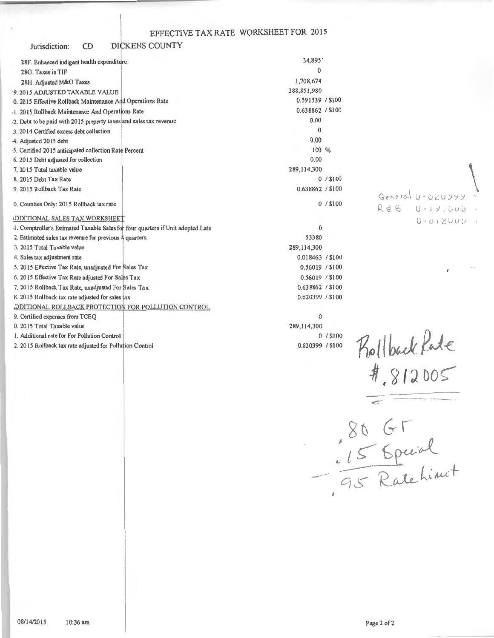#### DICKENS COUNTY Jurisdiction:  $CD$

| 28F. Enhanced indigent health expenditure                                       | 34,895'          |            |
|---------------------------------------------------------------------------------|------------------|------------|
| 28G. Taxes in TIF                                                               | $\Omega$         |            |
| 28H. Adjusted M&O Taxes                                                         | 1,708,674        |            |
| :9. 2015 ADJUSTED TAXABLE VALUE                                                 | 288,851,980      |            |
| 0. 2015 Effective Rollback Maintenance And Operations Rate                      | 0.591539 / \$100 |            |
| 1. 2015 Rollback Maintenance And Operations Rate                                | 0.638862 / \$100 |            |
| 2. Debt to be paid with 2015 property taxes and sales tax revenue               | 0.00             |            |
| 3. 2014 Certified excess debt collection                                        | $\Omega$         |            |
|                                                                                 | 0.00             |            |
| 4. Adjusted 2015 debt<br>5. Certified 2015 anticipated collection Rate Percent  | $100\%$          |            |
| 6. 2015 Debt adjusted for collection                                            | 0.00             |            |
| 7. 2015 Total taxable value                                                     | 289,114,300      |            |
| 8. 2015 Debt Tax Rate                                                           |                  | $0/$ \$100 |
|                                                                                 | 0.638862 / \$100 |            |
| 9. 2015 Rollback Tax Rate                                                       |                  |            |
| 0. Counties Only: 2015 Rollback tax rate                                        |                  | 0/ \$100   |
| <b>IDDITIONAL SALES TAX WORKSHEET</b>                                           |                  |            |
| 1. Comptroller's Estimated Taxable Sales for four quarters if Unit adopted Late | 0                |            |
| 2. Estimated sales tax revenue for previous 4 quarters.                         | 53380            |            |
| 3. 2015 Total Taxable value                                                     | 289,114,300      |            |
| 4. Sales tax adjustment rate                                                    | 0.018463 / \$100 |            |
| 5. 2015 Effective Tax Rate, unadjusted For Sales Tax                            | 0.56019 / \$100  |            |
| 6. 2015 Effective Tax Rate adjusted For Sales Tax                               | 0.56019 / \$100  |            |
| 7. 2015 Rollback Tax Rate, unadjusted For Sales Tax                             | 0.638862 / \$100 |            |
| 8. 2015 Rollback tax rate adjusted for sales tax                                | 0.620399 / \$100 |            |
| DDITIONAL ROLLBACK PROTECTION FOR POLLUTION CONTROL                             |                  |            |
| 9. Certified expenses from TCEQ                                                 | $\Omega$         |            |
| 0. 2015 Total Taxable value                                                     | 289,114,300      |            |
| 1. Additional rate for For Pollution Control                                    |                  | 0/ \$100   |
| 2. 2015 Rollback tax rate adjusted for Pollution Control                        | 0.620399 / \$100 |            |

General  $U \cdot 0 Z U 299$ REE U.IVIOUO 0.812005

Rollback Pate

80 GF<br>15 Special<br>- 95 Ratchinit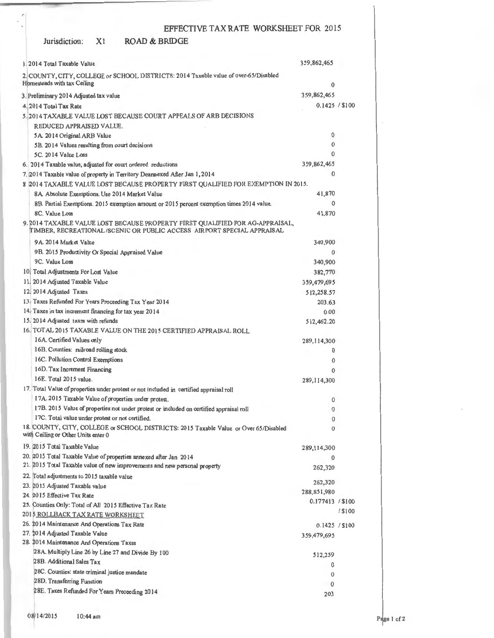#### Jurisdiction: ROAD & BRIDGE

| 1.2014 Total Taxable Value                                                                                                                                                 | 359,862,465      |           |
|----------------------------------------------------------------------------------------------------------------------------------------------------------------------------|------------------|-----------|
| 2. COUNTY, CITY, COLLEGE or SCHOOL DISTRICTS: 2014 Taxable value of over-65/Disabled<br>Homesteads with tax Ceiling                                                        | $\mathbf{0}$     |           |
| 3. Preliminary 2014 Adjusted tax value                                                                                                                                     | 359,862,465      |           |
| 4.2014 Total Tax Rate                                                                                                                                                      | 0.1425 / \$100   |           |
| 5. 2014 TAXABLE VALUE LOST BECAUSE COURT APPEALS OF ARB DECISIONS                                                                                                          |                  |           |
| REDUCED APPRAISED VALUE.                                                                                                                                                   |                  |           |
|                                                                                                                                                                            | $\mathbf 0$      |           |
| 5A. 2014 Original ARB Value<br>5B. 2014 Values resulting from court decisions                                                                                              | $\bf{0}$         |           |
| 5C. 2014 Value Loss                                                                                                                                                        | 0                |           |
|                                                                                                                                                                            | 359,862,465      |           |
| 6. 2014 Taxable value, adjusted for court ordered reductions                                                                                                               | $\Omega$         |           |
| 7. 2014 Taxable value of property in Territory Deannexed After Jan 1, 2014                                                                                                 |                  |           |
| 8 2014 TAXABLE VALUE LOST BECAUSE PROPERTY FIRST QUALIFIED FOR EXEMPTION IN 2015.                                                                                          | 41,870           |           |
| 8A. Absolute Exemptions. Use 2014 Market Value                                                                                                                             | $\mathbf{0}$     |           |
| 8B. Partial Exemptions. 2015 exemption amount or 2015 percent exemption times 2014 value.                                                                                  |                  |           |
| 8C. Value Loss<br>9. 2014 TAXABLE VALUE LOST BECAUSE PROPERTY FIRST QUALIFIED FOR AG-APPRAISAL,<br>TIMBER, RECREATIONAL /SCENIC OR PUBLIC ACCESS AIRPORT SPECIAL APPRAISAL | 41,870           |           |
| 9A 2014 Market Value                                                                                                                                                       | 340,900          |           |
| 9B. 2015 Productivity Or Special Appraised Value                                                                                                                           | 0                |           |
| 9C. Value Loss                                                                                                                                                             | 340,900          |           |
| 10. Total Adjustments For Lost Value                                                                                                                                       | 382,770          |           |
| 11, 2014 Adjusted Taxable Value                                                                                                                                            | 359,479,695      |           |
| 12. 2014 Adjusted Taxes                                                                                                                                                    | 512,258.57       |           |
| 13. Taxes Refunded For Years Proceeding Tax Year 2014                                                                                                                      | 203.63           |           |
| 14. Taxes in tax increment financing for tax year 2014                                                                                                                     | 0.00             |           |
| 15. 2014 Adjusted taxes with refunds                                                                                                                                       | 512,462.20       |           |
| 16. TOTAL 2015 TAXABLE VALUE ON THE 2015 CERTIFIED APPRAISAL ROLL                                                                                                          |                  |           |
| 16A. Certified Values only                                                                                                                                                 | 289, 114, 300    |           |
| 16B. Counties: railroad rolling stock                                                                                                                                      | 0                |           |
| 16C. Pollution Control Exemptions                                                                                                                                          | 0                |           |
| 16D. Tax Increment Financing                                                                                                                                               | $\Omega$         |           |
| 16E. Total 2015 value.                                                                                                                                                     |                  |           |
|                                                                                                                                                                            | 289, 114, 300    |           |
| 17. Total Value of properties under protest or not included in certified appraisal roll                                                                                    |                  |           |
| 17A. 2015 Taxable Value of properties under protest.                                                                                                                       | 0                |           |
| 17B. 2015 Value of properties not under protest or included on certified appraisal roll<br>17C. Total value under protest or not certified.                                | 0                |           |
|                                                                                                                                                                            | $\boldsymbol{0}$ |           |
| 18. COUNTY, CITY, COLLEGE or SCHOOL DISTRICTS: 2015 Taxable Value or Over 65/Disabled<br>with Ceiling or Other Units enter 0<br>19. 2015 Total Taxable Value               | 0                |           |
|                                                                                                                                                                            | 289,114,300      |           |
| 20. 2015 Total Taxable Value of properties annexed after Jan 2014<br>21. 2015 Total Taxable value of new improvements and new personal property                            | 0                |           |
|                                                                                                                                                                            | 262,320          |           |
| 22. Total adjustments to 2015 taxable value                                                                                                                                | 262,320          |           |
| 23. 2015 Adjusted Taxable value                                                                                                                                            | 288,851,980      |           |
| 24. 2015 Effective Tax Rate                                                                                                                                                | 0.177413 / \$100 |           |
| 25. Counties Only: Total of All 2015 Effective Tax Rate                                                                                                                    |                  | $/$ \$100 |
| 2015 ROLLBACK TAX RATE WORKSHEET                                                                                                                                           |                  |           |
| 26. 2014 Maintenance And Operations Tax Rate                                                                                                                               | 0.1425 / \$100   |           |
| 27. 2014 Adjusted Taxable Value<br>28. 2014 Maintenance And Operations Taxes                                                                                               | 359,479,695      |           |
| 28A. Multiply Line 26 by Line 27 and Divide By 100                                                                                                                         |                  |           |
| 28B. Additional Sales Tax                                                                                                                                                  | 512,259          |           |
|                                                                                                                                                                            | 0                |           |
| 28C. Counties: state criminal justice mandate                                                                                                                              | $\bf{0}$         |           |
| 28D. Transferring Function                                                                                                                                                 | $\theta$         |           |
| 28E. Taxes Refunded For Years Preceeding 2014                                                                                                                              | 203              |           |